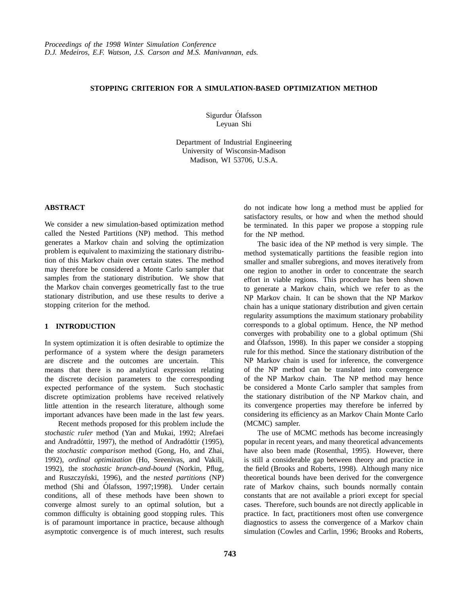## **STOPPING CRITERION FOR A SIMULATION-BASED OPTIMIZATION METHOD**

Sigurdur Ólafsson Leyuan Shi

Department of Industrial Engineering University of Wisconsin-Madison Madison, WI 53706, U.S.A.

### **ABSTRACT**

We consider a new simulation-based optimization method called the Nested Partitions (NP) method. This method generates a Markov chain and solving the optimization problem is equivalent to maximizing the stationary distribution of this Markov chain over certain states. The method may therefore be considered a Monte Carlo sampler that samples from the stationary distribution. We show that the Markov chain converges geometrically fast to the true stationary distribution, and use these results to derive a stopping criterion for the method.

## **1 INTRODUCTION**

In system optimization it is often desirable to optimize the performance of a system where the design parameters are discrete and the outcomes are uncertain. This means that there is no analytical expression relating the discrete decision parameters to the corresponding expected performance of the system. Such stochastic discrete optimization problems have received relatively little attention in the research literature, although some important advances have been made in the last few years.

Recent methods proposed for this problem include the *stochastic ruler* method (Yan and Mukai, 1992; Alrefaei and Andradóttir, 1997), the method of Andradóttir (1995), the *stochastic comparison* method (Gong, Ho, and Zhai, 1992), *ordinal optimization* (Ho, Sreenivas, and Vakili, 1992), the *stochastic branch-and-bound* (Norkin, Pflug, and Ruszczyński, 1996), and the *nested partitions* (NP) method (Shi and Ólafsson, 1997;1998). Under certain conditions, all of these methods have been shown to converge almost surely to an optimal solution, but a common difficulty is obtaining good stopping rules. This is of paramount importance in practice, because although asymptotic convergence is of much interest, such results

do not indicate how long a method must be applied for satisfactory results, or how and when the method should be terminated. In this paper we propose a stopping rule for the NP method.

The basic idea of the NP method is very simple. The method systematically partitions the feasible region into smaller and smaller subregions, and moves iteratively from one region to another in order to concentrate the search effort in viable regions. This procedure has been shown to generate a Markov chain, which we refer to as the NP Markov chain. It can be shown that the NP Markov chain has a unique stationary distribution and given certain regularity assumptions the maximum stationary probability corresponds to a global optimum. Hence, the NP method converges with probability one to a global optimum (Shi and Ólafsson, 1998). In this paper we consider a stopping rule for this method. Since the stationary distribution of the NP Markov chain is used for inference, the convergence of the NP method can be translated into convergence of the NP Markov chain. The NP method may hence be considered a Monte Carlo sampler that samples from the stationary distribution of the NP Markov chain, and its convergence properties may therefore be inferred by considering its efficiency as an Markov Chain Monte Carlo (MCMC) sampler.

The use of MCMC methods has become increasingly popular in recent years, and many theoretical advancements have also been made (Rosenthal, 1995). However, there is still a considerable gap between theory and practice in the field (Brooks and Roberts, 1998). Although many nice theoretical bounds have been derived for the convergence rate of Markov chains, such bounds normally contain constants that are not available a priori except for special cases. Therefore, such bounds are not directly applicable in practice. In fact, practitioners most often use convergence diagnostics to assess the convergence of a Markov chain simulation (Cowles and Carlin, 1996; Brooks and Roberts,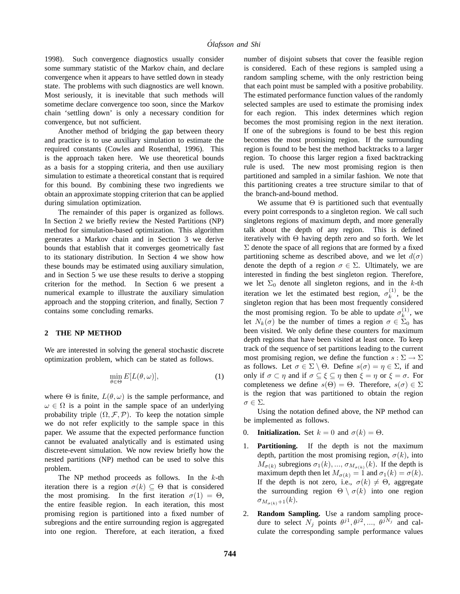1998). Such convergence diagnostics usually consider some summary statistic of the Markov chain, and declare convergence when it appears to have settled down in steady state. The problems with such diagnostics are well known. Most seriously, it is inevitable that such methods will sometime declare convergence too soon, since the Markov chain 'settling down' is only a necessary condition for convergence, but not sufficient.

Another method of bridging the gap between theory and practice is to use auxiliary simulation to estimate the required constants (Cowles and Rosenthal, 1996). This is the approach taken here. We use theoretical bounds as a basis for a stopping criteria, and then use auxiliary simulation to estimate a theoretical constant that is required for this bound. By combining these two ingredients we obtain an approximate stopping criterion that can be applied during simulation optimization.

The remainder of this paper is organized as follows. In Section 2 we briefly review the Nested Partitions (NP) method for simulation-based optimization. This algorithm generates a Markov chain and in Section 3 we derive bounds that establish that it converges geometrically fast to its stationary distribution. In Section 4 we show how these bounds may be estimated using auxiliary simulation, and in Section 5 we use these results to derive a stopping criterion for the method. In Section 6 we present a numerical example to illustrate the auxiliary simulation approach and the stopping criterion, and finally, Section 7 contains some concluding remarks.

### **2 THE NP METHOD**

We are interested in solving the general stochastic discrete optimization problem, which can be stated as follows.

$$
\min_{\theta \in \Theta} E[L(\theta, \omega)],\tag{1}
$$

where  $\Theta$  is finite,  $L(\theta, \omega)$  is the sample performance, and  $\omega \in \Omega$  is a point in the sample space of an underlying probability triple  $(\Omega, \mathcal{F}, \mathcal{P})$ . To keep the notation simple we do not refer explicitly to the sample space in this paper. We assume that the expected performance function cannot be evaluated analytically and is estimated using discrete-event simulation. We now review briefly how the nested partitions (NP) method can be used to solve this problem.

The NP method proceeds as follows. In the  $k$ -th iteration there is a region  $\sigma(k) \subseteq \Theta$  that is considered the most promising. In the first iteration  $\sigma(1) = \Theta$ , the entire feasible region. In each iteration, this most promising region is partitioned into a fixed number of subregions and the entire surrounding region is aggregated into one region. Therefore, at each iteration, a fixed

number of disjoint subsets that cover the feasible region is considered. Each of these regions is sampled using a random sampling scheme, with the only restriction being that each point must be sampled with a positive probability. The estimated performance function values of the randomly selected samples are used to estimate the promising index for each region. This index determines which region becomes the most promising region in the next iteration. If one of the subregions is found to be best this region becomes the most promising region. If the surrounding region is found to be best the method backtracks to a larger region. To choose this larger region a fixed backtracking rule is used. The new most promising region is then partitioned and sampled in a similar fashion. We note that this partitioning creates a tree structure similar to that of the branch-and-bound method.

We assume that  $\Theta$  is partitioned such that eventually every point corresponds to a singleton region. We call such singletons regions of maximum depth, and more generally talk about the depth of any region. This is defined iteratively with  $\Theta$  having depth zero and so forth. We let  $\Sigma$  denote the space of all regions that are formed by a fixed partitioning scheme as described above, and we let  $d(\sigma)$ denote the depth of a region  $\sigma \in \Sigma$ . Ultimately, we are interested in finding the best singleton region. Therefore, we let  $\Sigma_0$  denote all singleton regions, and in the k-th iteration we let the estimated best region,  $\sigma_k^{(1)}$ , be the singleton region that has been most frequently considered the most promising region. To be able to update  $\sigma_k^{(1)}$ , we let  $N_k(\sigma)$  be the number of times a region  $\sigma \in \Sigma_0$  has been visited. We only define these counters for maximum depth regions that have been visited at least once. To keep track of the sequence of set partitions leading to the current most promising region, we define the function  $s : \Sigma \to \Sigma$ as follows. Let  $\sigma \in \Sigma \setminus \Theta$ . Define  $s(\sigma) = \eta \in \Sigma$ , if and only if  $\sigma \subset \eta$  and if  $\sigma \subseteq \xi \subseteq \eta$  then  $\xi = \eta$  or  $\xi = \sigma$ . For completeness we define  $s(\Theta) = \Theta$ . Therefore,  $s(\sigma) \in \Sigma$ is the region that was partitioned to obtain the region  $\sigma \in \Sigma.$ 

Using the notation defined above, the NP method can be implemented as follows.

- 0. **Initialization.** Set  $k = 0$  and  $\sigma(k) = \Theta$ .
- 1. **Partitioning.** If the depth is not the maximum depth, partition the most promising region,  $\sigma(k)$ , into  $\overline{M}_{\sigma(k)}$  subregions  $\sigma_1(k), \ldots, \sigma_{M_{\sigma(k)}}(k)$ . If the depth is maximum depth then let  $M_{\sigma(k)} = 1$  and  $\sigma_1(k) = \sigma(k)$ . If the depth is not zero, i.e.,  $\sigma(k) \neq \Theta$ , aggregate the surrounding region  $\Theta \setminus \sigma(k)$  into one region  $\sigma_{M_{\sigma(k)}+1}(k).$
- 2. **Random Sampling.** Use a random sampling procedure to select  $N_j$  points  $\theta^{j1}, \theta^{j2}, \dots, \theta^{jN_j}$  and calculate the corresponding sample performance values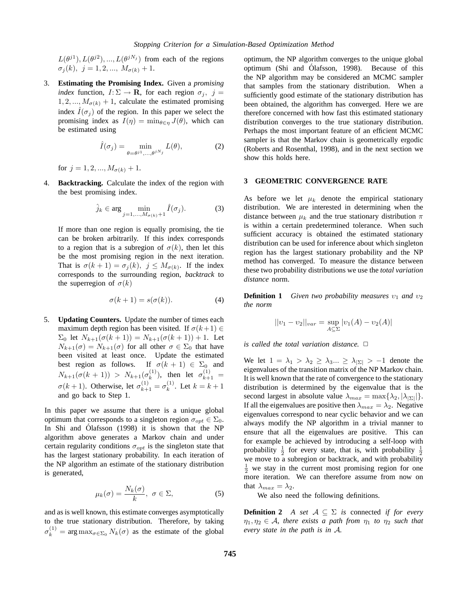$L(\theta^{j1}), L(\theta^{j2}), ..., L(\theta^{jN_j})$  from each of the regions  $\sigma_j(k), \, j = 1, 2, ..., M_{\sigma(k)} + 1.$ 

3. **Estimating the Promising Index.** Given a *promising index* function,  $I: \Sigma \to \mathbf{R}$ , for each region  $\sigma_j$ ,  $j =$  $1, 2, ..., M_{\sigma(k)} + 1$ , calculate the estimated promising index  $\hat{I}(\sigma_i)$  of the region. In this paper we select the promising index as  $I(\eta) = \min_{\theta \in \eta} J(\theta)$ , which can be estimated using

$$
\hat{I}(\sigma_j) = \min_{\theta = \theta^{j1}, \dots, \theta^{jN_j}} L(\theta),
$$
 (2)

for  $j = 1, 2, ..., M_{\sigma(k)} + 1$ .

4. **Backtracking.** Calculate the index of the region with the best promising index.

$$
\hat{j}_k \in \arg\min_{j=1,\dots,M_{\sigma(k)}+1} \hat{I}(\sigma_j). \tag{3}
$$

If more than one region is equally promising, the tie can be broken arbitrarily. If this index corresponds to a region that is a subregion of  $\sigma(k)$ , then let this be the most promising region in the next iteration. That is  $\sigma(k+1) = \sigma_j(k)$ ,  $j \leq M_{\sigma(k)}$ . If the index corresponds to the surrounding region, *backtrack* to the superregion of  $\sigma(k)$ 

$$
\sigma(k+1) = s(\sigma(k)).\tag{4}
$$

5. **Updating Counters.** Update the number of times each maximum depth region has been visited. If  $\sigma(k+1) \in$  $\Sigma_0$  let  $N_{k+1}(\sigma(k+1)) = N_{k+1}(\sigma(k+1)) + 1$ . Let  $N_{k+1}(\sigma) = N_{k+1}(\sigma)$  for all other  $\sigma \in \Sigma_0$  that have been visited at least once. Update the estimated best region as follows. If  $\sigma(k+1) \in \Sigma_0$  and  $N_{k+1}(\sigma(k+1)) > N_{k+1}(\sigma_k^{(1)}),$  then let  $\sigma_{k+1}^{(1)} =$  $\sigma(k+1)$ . Otherwise, let  $\sigma_{k+1}^{(1)} = \sigma_k^{(1)}$ . Let  $k = k+1$ and go back to Step 1.

In this paper we assume that there is a unique global optimum that corresponds to a singleton region  $\sigma_{opt} \in \Sigma_0$ . In Shi and Olafsson  $(1998)$  it is shown that the NP algorithm above generates a Markov chain and under certain regularity conditions  $\sigma_{opt}$  is the singleton state that has the largest stationary probability. In each iteration of the NP algorithm an estimate of the stationary distribution is generated,

$$
\mu_k(\sigma) = \frac{N_k(\sigma)}{k}, \ \sigma \in \Sigma,
$$
 (5)

and as is well known, this estimate converges asymptotically to the true stationary distribution. Therefore, by taking  $\sigma_k^{(1)} = \arg \max_{\sigma \in \Sigma_0} N_k(\sigma)$  as the estimate of the global optimum, the NP algorithm converges to the unique global optimum (Shi and Olafsson, 1998). Because of this ´ the NP algorithm may be considered an MCMC sampler that samples from the stationary distribution. When a sufficiently good estimate of the stationary distribution has been obtained, the algorithm has converged. Here we are therefore concerned with how fast this estimated stationary distribution converges to the true stationary distribution. Perhaps the most important feature of an efficient MCMC sampler is that the Markov chain is geometrically ergodic (Roberts and Rosenthal, 1998), and in the next section we show this holds here.

### **3 GEOMETRIC CONVERGENCE RATE**

As before we let  $\mu_k$  denote the empirical stationary distribution. We are interested in determining when the distance between  $\mu_k$  and the true stationary distribution  $\pi$ is within a certain predetermined tolerance. When such sufficient accuracy is obtained the estimated stationary distribution can be used for inference about which singleton region has the largest stationary probability and the NP method has converged. To measure the distance between these two probability distributions we use the *total variation distance* norm.

**Definition 1** *Given two probability measures*  $v_1$  *and*  $v_2$ *the norm*

$$
||v_1 - v_2||_{var} = \sup_{A \subseteq \Sigma} |v_1(A) - v_2(A)|
$$

*is called the total variation distance.*  $\Box$ 

We let  $1 = \lambda_1 > \lambda_2 \geq \lambda_3 ... \geq \lambda_{|\Sigma|} > -1$  denote the eigenvalues of the transition matrix of the NP Markov chain. It is well known that the rate of convergence to the stationary distribution is determined by the eigenvalue that is the second largest in absolute value  $\lambda_{max} = \max{\{\lambda_2, |\lambda_{|\Sigma|}|\}}$ . If all the eigenvalues are positive then  $\lambda_{max} = \lambda_2$ . Negative eigenvalues correspond to near cyclic behavior and we can always modify the NP algorithm in a trivial manner to ensure that all the eigenvalues are positive. This can for example be achieved by introducing a self-loop with probability  $\frac{1}{2}$  for every state, that is, with probability  $\frac{1}{2}$ we move to a subregion or backtrack, and with probability  $\frac{1}{2}$  we stay in the current most promising region for one more iteration. We can therefore assume from now on that  $\lambda_{max} = \lambda_2$ .

We also need the following definitions.

**Definition 2** *A set*  $A \subseteq \Sigma$  *is* connected *if for every*  $\eta_1, \eta_2 \in \mathcal{A}$ , there exists a path from  $\eta_1$  to  $\eta_2$  such that *every state in the path is in* A*.*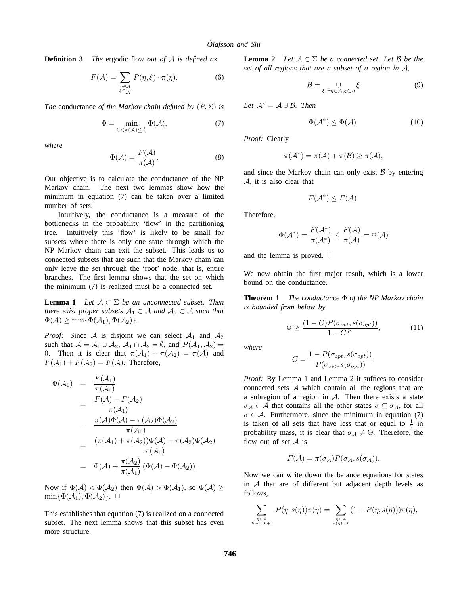**Definition 3** *The* ergodic flow *out of* A *is defined as*

$$
F(\mathcal{A}) = \sum_{\substack{\eta \in \mathcal{A} \\ \xi \in \mathcal{A}}} P(\eta, \xi) \cdot \pi(\eta). \tag{6}
$$

*The* conductance *of the Markov chain defined by*  $(P, \Sigma)$  *is* 

$$
\Phi = \min_{0 < \pi(\mathcal{A}) \le \frac{1}{2}} \Phi(\mathcal{A}),\tag{7}
$$

*where*

$$
\Phi(\mathcal{A}) = \frac{F(\mathcal{A})}{\pi(\mathcal{A})}.
$$
\n(8)

Our objective is to calculate the conductance of the NP Markov chain. The next two lemmas show how the minimum in equation (7) can be taken over a limited number of sets.

Intuitively, the conductance is a measure of the bottlenecks in the probability 'flow' in the partitioning tree. Intuitively this 'flow' is likely to be small for subsets where there is only one state through which the NP Markov chain can exit the subset. This leads us to connected subsets that are such that the Markov chain can only leave the set through the 'root' node, that is, entire branches. The first lemma shows that the set on which the minimum (7) is realized must be a connected set.

**Lemma 1** *Let*  $A \subset \Sigma$  *be an unconnected subset. Then there exist proper subsets*  $A_1 \subset A$  *and*  $A_2 \subset A$  *such that*  $\Phi(\mathcal{A}) \ge \min{\{\Phi(\mathcal{A}_1), \Phi(\mathcal{A}_2)\}}.$ 

*Proof:* Since A is disjoint we can select  $A_1$  and  $A_2$ such that  $A = A_1 \cup A_2$ ,  $A_1 \cap A_2 = \emptyset$ , and  $P(A_1, A_2) =$ 0. Then it is clear that  $\pi(\mathcal{A}_1) + \pi(\mathcal{A}_2) = \pi(\mathcal{A})$  and  $F(\mathcal{A}_1) + F(\mathcal{A}_2) = F(\mathcal{A})$ . Therefore,

$$
\Phi(\mathcal{A}_1) = \frac{F(\mathcal{A}_1)}{\pi(\mathcal{A}_1)}
$$
\n
$$
= \frac{F(\mathcal{A}) - F(\mathcal{A}_2)}{\pi(\mathcal{A}_1)}
$$
\n
$$
= \frac{\pi(\mathcal{A})\Phi(\mathcal{A}) - \pi(\mathcal{A}_2)\Phi(\mathcal{A}_2)}{\pi(\mathcal{A}_1)}
$$
\n
$$
= \frac{(\pi(\mathcal{A}_1) + \pi(\mathcal{A}_2))\Phi(\mathcal{A}) - \pi(\mathcal{A}_2)\Phi(\mathcal{A}_2)}{\pi(\mathcal{A}_1)}
$$
\n
$$
= \Phi(\mathcal{A}) + \frac{\pi(\mathcal{A}_2)}{\pi(\mathcal{A}_1)} (\Phi(\mathcal{A}) - \Phi(\mathcal{A}_2)).
$$

Now if  $\Phi(\mathcal{A}) < \Phi(\mathcal{A}_2)$  then  $\Phi(\mathcal{A}) > \Phi(\mathcal{A}_1)$ , so  $\Phi(\mathcal{A}) \ge$  $\min{\{\Phi(\mathcal{A}_1), \Phi(\mathcal{A}_2)\}. \ \Box}$ 

This establishes that equation (7) is realized on a connected subset. The next lemma shows that this subset has even more structure.

**Lemma 2** *Let*  $A \subset \Sigma$  *be a connected set. Let*  $\beta$  *be the set of all regions that are a subset of a region in* A*,*

$$
\mathcal{B} = \bigcup_{\xi: \exists \eta \in \mathcal{A}, \xi \subset \eta} \xi \tag{9}
$$

*Let*  $\mathcal{A}^* = \mathcal{A} \cup \mathcal{B}$ *. Then* 

$$
\Phi(\mathcal{A}^*) \le \Phi(\mathcal{A}).\tag{10}
$$

*Proof:* Clearly

$$
\pi({\mathcal A}^*)=\pi({\mathcal A})+\pi({\mathcal B})\geq \pi({\mathcal A}),
$$

and since the Markov chain can only exist  $\beta$  by entering A, it is also clear that

$$
F(\mathcal{A}^*) \leq F(\mathcal{A}).
$$

Therefore,

$$
\Phi(\mathcal{A}^*) = \frac{F(\mathcal{A}^*)}{\pi(\mathcal{A}^*)} \le \frac{F(\mathcal{A})}{\pi(\mathcal{A})} = \Phi(\mathcal{A})
$$

and the lemma is proved.  $\Box$ 

We now obtain the first major result, which is a lower bound on the conductance.

**Theorem 1** *The conductance* Φ *of the NP Markov chain is bounded from below by*

$$
\Phi \ge \frac{(1 - C)P(\sigma_{opt}, s(\sigma_{opt}))}{1 - C^{d^*}},
$$
\n(11)

*where*

$$
C = \frac{1 - P(\sigma_{opt}, s(\sigma_{opt}))}{P(\sigma_{opt}, s(\sigma_{opt}))}.
$$

*Proof:* By Lemma 1 and Lemma 2 it suffices to consider connected sets  $A$  which contain all the regions that are a subregion of a region in  $A$ . Then there exists a state  $\sigma_{\mathcal{A}} \in \mathcal{A}$  that contains all the other states  $\sigma \subseteq \sigma_{\mathcal{A}}$ , for all  $\sigma \in A$ . Furthermore, since the minimum in equation (7) is taken of all sets that have less that or equal to  $\frac{1}{2}$  in probability mass, it is clear that  $\sigma_{\mathcal{A}} \neq \Theta$ . Therefore, the flow out of set  $A$  is

$$
F(\mathcal{A}) = \pi(\sigma_{\mathcal{A}}) P(\sigma_{\mathcal{A}}, s(\sigma_{\mathcal{A}})).
$$

Now we can write down the balance equations for states in  $A$  that are of different but adjacent depth levels as follows,

$$
\sum_{\substack{\eta \in \mathcal{A} \\ d(\eta)=k+1}} P(\eta, s(\eta))\pi(\eta) = \sum_{\substack{\eta \in \mathcal{A} \\ d(\eta)=k}} (1 - P(\eta, s(\eta)))\pi(\eta),
$$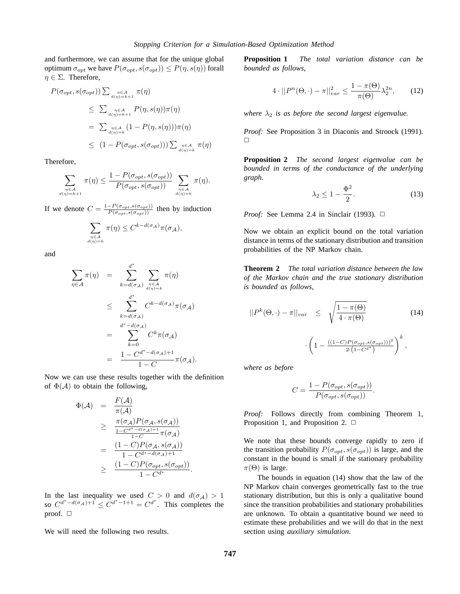and furthermore, we can assume that for the unique global optimum  $\sigma_{opt}$  we have  $P(\sigma_{opt}, s(\sigma_{opt})) \leq P(\eta, s(\eta))$  forall  $\eta \in \Sigma$ . Therefore,

$$
P(\sigma_{opt}, s(\sigma_{opt})) \sum_{d(\eta) = k+1} \pi(\eta)
$$
  
\n
$$
\leq \sum_{d(\eta) = k+1} P(\eta, s(\eta)) \pi(\eta)
$$
  
\n
$$
= \sum_{d(\eta) = k} \pi(\eta, s(\eta)) \pi(\eta)
$$
  
\n
$$
\leq (1 - P(\sigma_{opt}, s(\sigma_{opt}))) \sum_{d(\eta) = k} \pi(\eta)
$$

Therefore,

$$
\sum_{\substack{\eta \in \mathcal{A} \\ d(\eta)=k+1}} \pi(\eta) \leq \frac{1-P(\sigma_{opt}, s(\sigma_{opt}))}{P(\sigma_{opt}, s(\sigma_{opt}))} \sum_{\substack{\eta \in \mathcal{A} \\ d(\eta)=k}} \pi(\eta).
$$

If we denote  $C = \frac{1 - P(\sigma_{opt}, s(\sigma_{opt}))}{P(\sigma_{opt}, s(\sigma_{opt}))}$  then by induction

$$
\sum_{\substack{\eta \in \mathcal{A} \\ d(\eta)=k}} \pi(\eta) \leq C^{k-d(\sigma_{\mathcal{A}})}\pi(\sigma_{\mathcal{A}}),
$$

and

$$
\sum_{\eta \in \mathcal{A}} \pi(\eta) = \sum_{k=d(\sigma_{\mathcal{A}})}^{d^*} \sum_{\substack{\eta \in \mathcal{A} \\ d(\eta)=k}} \pi(\eta)
$$
\n
$$
\leq \sum_{k=d(\sigma_{\mathcal{A}})}^{d^*} C^{k-d(\sigma_{\mathcal{A}})} \pi(\sigma_{\mathcal{A}})
$$
\n
$$
= \sum_{k=0}^{d^* - d(\sigma_{\mathcal{A}})} C^k \pi(\sigma_{\mathcal{A}})
$$
\n
$$
= \frac{1 - C^{d^* - d(\sigma_{\mathcal{A}}) + 1}}{1 - C} \pi(\sigma_{\mathcal{A}}).
$$

Now we can use these results together with the definition of  $\Phi(A)$  to obtain the following,

$$
\Phi(\mathcal{A}) = \frac{F(\mathcal{A})}{\pi(\mathcal{A})}
$$
\n
$$
\geq \frac{\pi(\sigma_{\mathcal{A}})P(\sigma_{\mathcal{A}}, s(\sigma_{\mathcal{A}}))}{\frac{1-C^{d^* - d(\sigma_{\mathcal{A}}) + 1}}{1-C} \pi(\sigma_{\mathcal{A}})}
$$
\n
$$
= \frac{(1-C)P(\sigma_{\mathcal{A}}, s(\sigma_{\mathcal{A}}))}{1-C^{d^* - d(\sigma_{\mathcal{A}}) + 1}}
$$
\n
$$
\geq \frac{(1-C)P(\sigma_{opt}, s(\sigma_{opt}))}{1-C^{d^*}}.
$$

In the last inequality we used  $C > 0$  and  $d(\sigma_{\mathcal{A}}) > 1$ so  $C^{d^* - d(\sigma_{\mathcal{A}}) + 1} \leq C^{d^* - 1 + 1} = C^{d^*}$ . This completes the proof.  $\Box$ 

We will need the following two results.

**Proposition 1** *The total variation distance can be bounded as follows,*

$$
4 \cdot ||P^n(\Theta, \cdot) - \pi||_{var}^2 \le \frac{1 - \pi(\Theta)}{\pi(\Theta)} \lambda_2^{2n}, \qquad (12)
$$

*where*  $\lambda_2$  *is as before the second largest eigenvalue.* 

*Proof:* See Proposition 3 in Diaconis and Stroock (1991).  $\Box$ 

**Proposition 2** *The second largest eigenvalue can be bounded in terms of the conductance of the underlying graph.*

$$
\lambda_2 \le 1 - \frac{\Phi^2}{2}.\tag{13}
$$

*Proof:* See Lemma 2.4 in Sinclair (1993).  $\Box$ 

Now we obtain an explicit bound on the total variation distance in terms of the stationary distribution and transition probabilities of the NP Markov chain.

**Theorem 2** *The total variation distance between the law of the Markov chain and the true stationary distribution is bounded as follows,*

$$
||P^{k}(\Theta,\cdot)-\pi||_{var} \leq \sqrt{\frac{1-\pi(\Theta)}{4\cdot\pi(\Theta)}} \qquad (14)
$$

$$
\cdot \left(1-\frac{((1-C)P(\sigma_{opt},s(\sigma_{opt})))^{2}}{2\cdot(1-C^{d^{*}})}\right)^{k},
$$

*where as before*

$$
C = \frac{1 - P(\sigma_{opt}, s(\sigma_{opt}))}{P(\sigma_{opt}, s(\sigma_{opt}))}.
$$

*Proof:* Follows directly from combining Theorem 1, Proposition 1, and Proposition 2.  $\Box$ 

We note that these bounds converge rapidly to zero if the transition probability  $P(\sigma_{opt}, s(\sigma_{opt}))$  is large, and the constant in the bound is small if the stationary probability  $\pi(\Theta)$  is large.

The bounds in equation (14) show that the law of the NP Markov chain converges geometrically fast to the true stationary distribution, but this is only a qualitative bound since the transition probabilities and stationary probabilities are unknown. To obtain a quantitative bound we need to estimate these probabilities and we will do that in the next section using *auxiliary simulation*.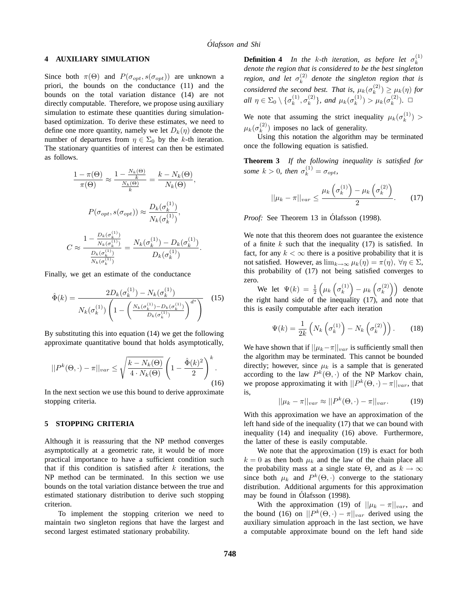## **4 AUXILIARY SIMULATION**

Since both  $\pi(\Theta)$  and  $P(\sigma_{opt}, s(\sigma_{opt}))$  are unknown a priori, the bounds on the conductance (11) and the bounds on the total variation distance (14) are not directly computable. Therefore, we propose using auxiliary simulation to estimate these quantities during simulationbased optimization. To derive these estimates, we need to define one more quantity, namely we let  $D_k(\eta)$  denote the number of departures from  $\eta \in \Sigma_0$  by the k-th iteration. The stationary quantities of interest can then be estimated as follows.

$$
\frac{1 - \pi(\Theta)}{\pi(\Theta)} \approx \frac{1 - \frac{N_k(\Theta)}{k}}{\frac{N_k(\Theta)}{k}} = \frac{k - N_k(\Theta)}{N_k(\Theta)},
$$

$$
P(\sigma_{opt}, s(\sigma_{opt})) \approx \frac{D_k(\sigma_k^{(1)})}{N_k(\sigma_k^{(1)})},
$$

$$
C \approx \frac{1 - \frac{D_k(\sigma_k^{(1)})}{N_k(\sigma_k^{(1)})}}{\frac{D_k(\sigma_k^{(1)})}{N_k(\sigma_k^{(1)})}} = \frac{N_k(\sigma_k^{(1)}) - D_k(\sigma_k^{(1)})}{D_k(\sigma_k^{(1)})}.
$$

Finally, we get an estimate of the conductance

$$
\hat{\Phi}(k) = \frac{2D_k(\sigma_k^{(1)}) - N_k(\sigma_k^{(1)})}{N_k(\sigma_k^{(1)}) \left(1 - \left(\frac{N_k(\sigma_k^{(1)}) - D_k(\sigma_k^{(1)})}{D_k(\sigma_k^{(1)})}\right)^{d^*}\right)}
$$
(15)

By substituting this into equation (14) we get the following approximate quantitative bound that holds asymptotically,

$$
||P^{k}(\Theta,\cdot)-\pi||_{var} \leq \sqrt{\frac{k-N_{k}(\Theta)}{4 \cdot N_{k}(\Theta)}} \left(1-\frac{\hat{\Phi}(k)^{2}}{2}\right)^{k}.
$$
\n(16)

In the next section we use this bound to derive approximate stopping criteria.

#### **5 STOPPING CRITERIA**

Although it is reassuring that the NP method converges asymptotically at a geometric rate, it would be of more practical importance to have a sufficient condition such that if this condition is satisfied after  $k$  iterations, the NP method can be terminated. In this section we use bounds on the total variation distance between the true and estimated stationary distribution to derive such stopping criterion.

To implement the stopping criterion we need to maintain two singleton regions that have the largest and second largest estimated stationary probability.

**Definition 4** *In the k-th iteration, as before let*  $\sigma_k^{(1)}$ *denote the region that is considered to be the best singleton region, and let*  $\sigma_k^{(2)}$  *denote the singleton region that is considered the second best. That is,*  $\mu_k(\sigma_k^{(2)}) \ge \mu_k(\eta)$  *for all*  $\eta \in \Sigma_0 \setminus {\{\sigma_k^{(1)}, \sigma_k^{(2)}\}}$ *, and*  $\mu_k(\sigma_k^{(1)}) > \mu_k(\sigma_k^{(2)})$ *.*  $\Box$ 

We note that assuming the strict inequality  $\mu_k(\sigma_k^{(1)})$  $\mu_k(\sigma_k^{(2)})$  imposes no lack of generality.

Using this notation the algorithm may be terminated once the following equation is satisfied.

**Theorem 3** *If the following inequality is satisfied for some*  $k > 0$ *, then*  $\sigma_k^{(1)} = \sigma_{opt}$ *,* 

$$
||\mu_k - \pi||_{var} \le \frac{\mu_k\left(\sigma_k^{(1)}\right) - \mu_k\left(\sigma_k^{(2)}\right)}{2}.\tag{17}
$$

*Proof:* See Theorem 13 in Ólafsson (1998).

We note that this theorem does not guarantee the existence of a finite  $k$  such that the inequality (17) is satisfied. In fact, for any  $k < \infty$  there is a positive probability that it is not satisfied. However, as  $\lim_{k\to\infty} \mu_k(\eta) = \pi(\eta)$ ,  $\forall \eta \in \Sigma$ , this probability of (17) not being satisfied converges to zero.

We let  $\Psi(k) = \frac{1}{2} \left( \mu_k \left( \sigma_k^{(1)} \right) - \mu_k \left( \sigma_k^{(2)} \right) \right)$  denote the right hand side of the inequality (17), and note that this is easily computable after each iteration

$$
\Psi(k) = \frac{1}{2k} \left( N_k \left( \sigma_k^{(1)} \right) - N_k \left( \sigma_k^{(2)} \right) \right). \tag{18}
$$

We have shown that if  $||\mu_k - \pi||_{var}$  is sufficiently small then the algorithm may be terminated. This cannot be bounded directly; however, since  $\mu_k$  is a sample that is generated according to the law  $P^k(\Theta, \cdot)$  of the NP Markov chain, we propose approximating it with  $||P^k(\Theta, \cdot) - \pi||_{var}$ , that is,

$$
||\mu_k - \pi||_{var} \approx ||P^k(\Theta, \cdot) - \pi||_{var}.
$$
 (19)

With this approximation we have an approximation of the left hand side of the inequality (17) that we can bound with inequality (14) and inequality (16) above. Furthermore, the latter of these is easily computable.

We note that the approximation (19) is exact for both  $k = 0$  as then both  $\mu_k$  and the law of the chain place all the probability mass at a single state  $\Theta$ , and as  $k \to \infty$ since both  $\mu_k$  and  $P^k(\Theta, \cdot)$  converge to the stationary distribution. Additional arguments for this approximation may be found in Ólafsson (1998).

With the approximation (19) of  $||\mu_k - \pi||_{var}$ , and the bound (16) on  $||P^k(\Theta, \cdot) - \pi||_{var}$  derived using the auxiliary simulation approach in the last section, we have a computable approximate bound on the left hand side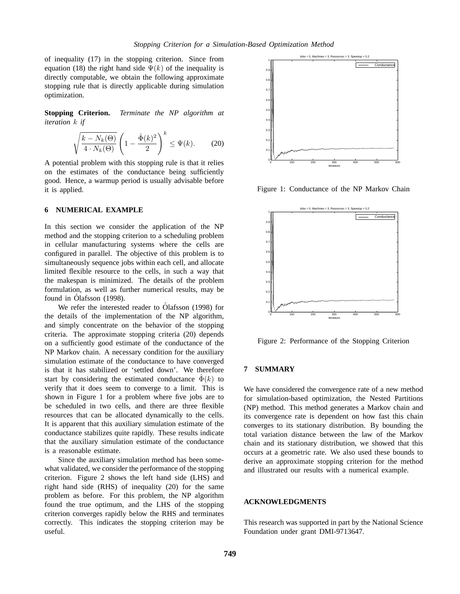of inequality (17) in the stopping criterion. Since from equation (18) the right hand side  $\Psi(k)$  of the inequality is directly computable, we obtain the following approximate stopping rule that is directly applicable during simulation optimization.

**Stopping Criterion.** *Terminate the NP algorithm at iteration* k *if*

$$
\sqrt{\frac{k - N_k(\Theta)}{4 \cdot N_k(\Theta)}} \left( 1 - \frac{\hat{\Phi}(k)^2}{2} \right)^k \le \Psi(k). \tag{20}
$$

A potential problem with this stopping rule is that it relies on the estimates of the conductance being sufficiently good. Hence, a warmup period is usually advisable before it is applied.

### **6 NUMERICAL EXAMPLE**

In this section we consider the application of the NP method and the stopping criterion to a scheduling problem in cellular manufacturing systems where the cells are configured in parallel. The objective of this problem is to simultaneously sequence jobs within each cell, and allocate limited flexible resource to the cells, in such a way that the makespan is minimized. The details of the problem formulation, as well as further numerical results, may be found in Ólafsson (1998).

We refer the interested reader to Ólafsson (1998) for the details of the implementation of the NP algorithm, and simply concentrate on the behavior of the stopping criteria. The approximate stopping criteria (20) depends on a sufficiently good estimate of the conductance of the NP Markov chain. A necessary condition for the auxiliary simulation estimate of the conductance to have converged is that it has stabilized or 'settled down'. We therefore start by considering the estimated conductance  $\hat{\Phi}(k)$  to verify that it does seem to converge to a limit. This is shown in Figure 1 for a problem where five jobs are to be scheduled in two cells, and there are three flexible resources that can be allocated dynamically to the cells. It is apparent that this auxiliary simulation estimate of the conductance stabilizes quite rapidly. These results indicate that the auxiliary simulation estimate of the conductance is a reasonable estimate.

Since the auxiliary simulation method has been somewhat validated, we consider the performance of the stopping criterion. Figure 2 shows the left hand side (LHS) and right hand side (RHS) of inequality (20) for the same problem as before. For this problem, the NP algorithm found the true optimum, and the LHS of the stopping criterion converges rapidly below the RHS and terminates correctly. This indicates the stopping criterion may be useful.



Figure 1: Conductance of the NP Markov Chain



Figure 2: Performance of the Stopping Criterion

#### **7 SUMMARY**

We have considered the convergence rate of a new method for simulation-based optimization, the Nested Partitions (NP) method. This method generates a Markov chain and its convergence rate is dependent on how fast this chain converges to its stationary distribution. By bounding the total variation distance between the law of the Markov chain and its stationary distribution, we showed that this occurs at a geometric rate. We also used these bounds to derive an approximate stopping criterion for the method and illustrated our results with a numerical example.

## **ACKNOWLEDGMENTS**

This research was supported in part by the National Science Foundation under grant DMI-9713647.